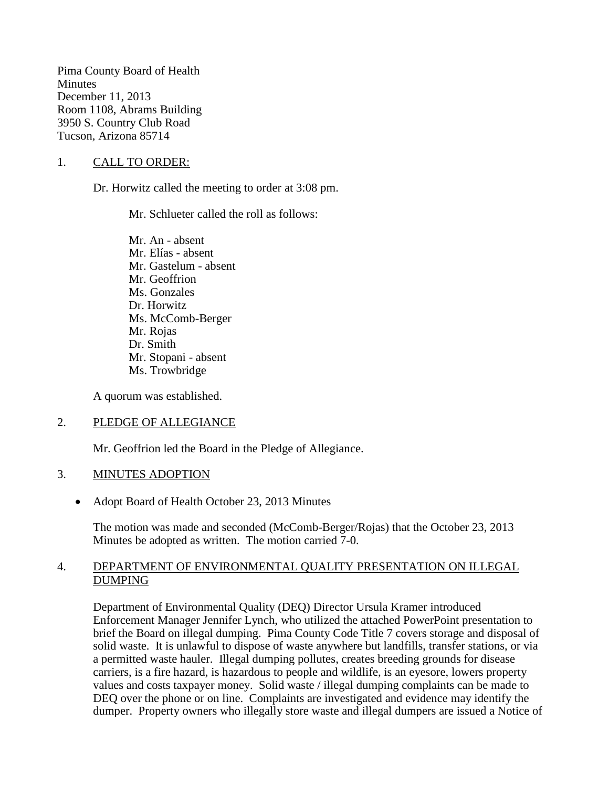Pima County Board of Health **Minutes** December 11, 2013 Room 1108, Abrams Building 3950 S. Country Club Road Tucson, Arizona 85714

#### 1. CALL TO ORDER:

Dr. Horwitz called the meeting to order at 3:08 pm.

Mr. Schlueter called the roll as follows:

Mr. An - absent Mr. Elías - absent Mr. Gastelum - absent Mr. Geoffrion Ms. Gonzales Dr. Horwitz Ms. McComb-Berger Mr. Rojas Dr. Smith Mr. Stopani - absent Ms. Trowbridge

A quorum was established.

#### 2. PLEDGE OF ALLEGIANCE

Mr. Geoffrion led the Board in the Pledge of Allegiance.

#### 3. MINUTES ADOPTION

• Adopt Board of Health October 23, 2013 Minutes

The motion was made and seconded (McComb-Berger/Rojas) that the October 23, 2013 Minutes be adopted as written. The motion carried 7-0.

#### 4. DEPARTMENT OF ENVIRONMENTAL QUALITY PRESENTATION ON ILLEGAL DUMPING

Department of Environmental Quality (DEQ) Director Ursula Kramer introduced Enforcement Manager Jennifer Lynch, who utilized the attached PowerPoint presentation to brief the Board on illegal dumping. Pima County Code Title 7 covers storage and disposal of solid waste. It is unlawful to dispose of waste anywhere but landfills, transfer stations, or via a permitted waste hauler. Illegal dumping pollutes, creates breeding grounds for disease carriers, is a fire hazard, is hazardous to people and wildlife, is an eyesore, lowers property values and costs taxpayer money. Solid waste / illegal dumping complaints can be made to DEQ over the phone or on line. Complaints are investigated and evidence may identify the dumper. Property owners who illegally store waste and illegal dumpers are issued a Notice of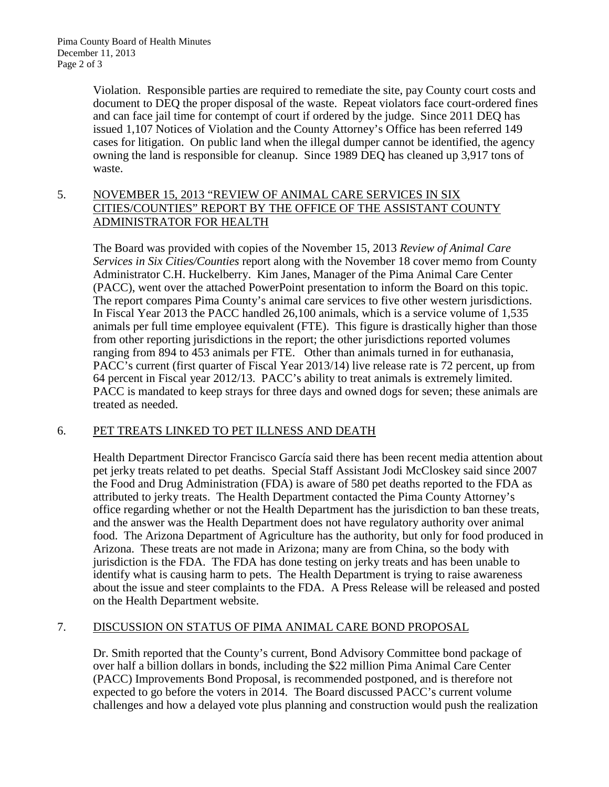Violation. Responsible parties are required to remediate the site, pay County court costs and document to DEQ the proper disposal of the waste. Repeat violators face court-ordered fines and can face jail time for contempt of court if ordered by the judge. Since 2011 DEQ has issued 1,107 Notices of Violation and the County Attorney's Office has been referred 149 cases for litigation. On public land when the illegal dumper cannot be identified, the agency owning the land is responsible for cleanup. Since 1989 DEQ has cleaned up 3,917 tons of waste.

# 5. NOVEMBER 15, 2013 "REVIEW OF ANIMAL CARE SERVICES IN SIX CITIES/COUNTIES" REPORT BY THE OFFICE OF THE ASSISTANT COUNTY ADMINISTRATOR FOR HEALTH

The Board was provided with copies of the November 15, 2013 *Review of Animal Care Services in Six Cities/Counties* report along with the November 18 cover memo from County Administrator C.H. Huckelberry. Kim Janes, Manager of the Pima Animal Care Center (PACC), went over the attached PowerPoint presentation to inform the Board on this topic. The report compares Pima County's animal care services to five other western jurisdictions. In Fiscal Year 2013 the PACC handled 26,100 animals, which is a service volume of 1,535 animals per full time employee equivalent (FTE). This figure is drastically higher than those from other reporting jurisdictions in the report; the other jurisdictions reported volumes ranging from 894 to 453 animals per FTE. Other than animals turned in for euthanasia, PACC's current (first quarter of Fiscal Year 2013/14) live release rate is 72 percent, up from 64 percent in Fiscal year 2012/13. PACC's ability to treat animals is extremely limited. PACC is mandated to keep strays for three days and owned dogs for seven; these animals are treated as needed.

# 6. PET TREATS LINKED TO PET ILLNESS AND DEATH

Health Department Director Francisco García said there has been recent media attention about pet jerky treats related to pet deaths. Special Staff Assistant Jodi McCloskey said since 2007 the Food and Drug Administration (FDA) is aware of 580 pet deaths reported to the FDA as attributed to jerky treats. The Health Department contacted the Pima County Attorney's office regarding whether or not the Health Department has the jurisdiction to ban these treats, and the answer was the Health Department does not have regulatory authority over animal food. The Arizona Department of Agriculture has the authority, but only for food produced in Arizona. These treats are not made in Arizona; many are from China, so the body with jurisdiction is the FDA. The FDA has done testing on jerky treats and has been unable to identify what is causing harm to pets. The Health Department is trying to raise awareness about the issue and steer complaints to the FDA. A Press Release will be released and posted on the Health Department website.

# 7. DISCUSSION ON STATUS OF PIMA ANIMAL CARE BOND PROPOSAL

Dr. Smith reported that the County's current, Bond Advisory Committee bond package of over half a billion dollars in bonds, including the \$22 million Pima Animal Care Center (PACC) Improvements Bond Proposal, is recommended postponed, and is therefore not expected to go before the voters in 2014. The Board discussed PACC's current volume challenges and how a delayed vote plus planning and construction would push the realization